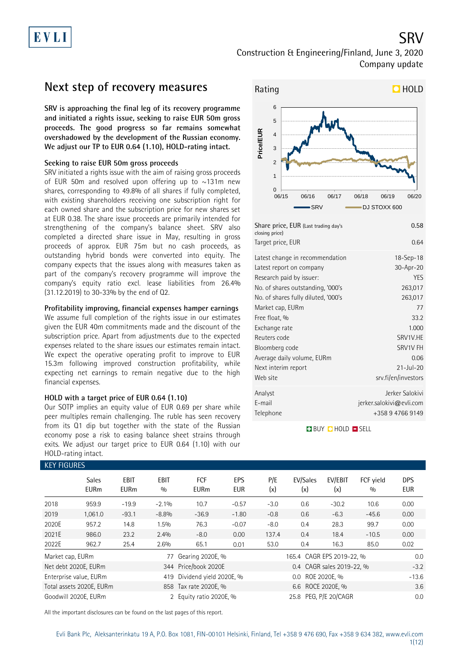Construction & Engineering/Finland, June 3, 2020 Company update

### **Next step of recovery measures**

**SRV is approaching the final leg of its recovery programme and initiated a rights issue, seeking to raise EUR 50m gross proceeds. The good progress so far remains somewhat overshadowed by the development of the Russian economy. We adjust our TP to EUR 0.64 (1.10), HOLD-rating intact.**

#### **Seeking to raise EUR 50m gross proceeds**

SRV initiated a rights issue with the aim of raising gross proceeds of EUR 50m and resolved upon offering up to  $\sim$ 131m new shares, corresponding to 49.8% of all shares if fully completed, with existing shareholders receiving one subscription right for each owned share and the subscription price for new shares set at EUR 0.38. The share issue proceeds are primarily intended for strengthening of the company's balance sheet. SRV also completed a directed share issue in May, resulting in gross proceeds of approx. EUR 75m but no cash proceeds, as outstanding hybrid bonds were converted into equity. The company expects that the issues along with measures taken as part of the company's recovery programme will improve the company's equity ratio excl. lease liabilities from 26.4% (31.12.2019) to 30-33% by the end of Q2.

### **Profitability improving, financial expenses hamper earnings**

We assume full completion of the rights issue in our estimates given the EUR 40m commitments made and the discount of the subscription price. Apart from adjustments due to the expected expenses related to the share issues our estimates remain intact. We expect the operative operating profit to improve to EUR 15.3m following improved construction profitability, while expecting net earnings to remain negative due to the high financial expenses.

#### **HOLD with a target price of EUR 0.64 (1.10)**

Our SOTP implies an equity value of EUR 0.69 per share while peer multiples remain challenging. The ruble has seen recovery from its Q1 dip but together with the state of the Russian economy pose a risk to easing balance sheet strains through exits. We adjust our target price to EUR 0.64 (1.10) with our HOLD-rating intact.



### Telephone +358 9 4766 9149 **BUY QHOLD SELL**

E-mail jerker.salokivi@evli.com

| <b>KEY FIGURES</b>   |                             |                     |             |                           |                          |            |                           |                           |                  |                          |
|----------------------|-----------------------------|---------------------|-------------|---------------------------|--------------------------|------------|---------------------------|---------------------------|------------------|--------------------------|
|                      | <b>Sales</b><br><b>EURm</b> | EBIT<br><b>EURm</b> | EBIT<br>0/0 | <b>FCF</b><br><b>EURm</b> | <b>EPS</b><br><b>EUR</b> | P/E<br>(x) | EV/Sales<br>(x)           | EV/EBIT<br>(x)            | FCF vield<br>0/0 | <b>DPS</b><br><b>EUR</b> |
| 2018                 | 959.9                       | $-19.9$             | $-2.1%$     | 10.7                      | $-0.57$                  | $-3.0$     | 0.6                       | $-30.2$                   | 10.6             | 0.00                     |
| 2019                 | 1,061.0                     | $-93.1$             | $-8.8%$     | $-36.9$                   | $-1.80$                  | $-0.8$     | 0.6                       | $-6.3$                    | $-45.6$          | 0.00                     |
| 2020E                | 957.2                       | 14.8                | 1.5%        | 76.3                      | $-0.07$                  | $-8.0$     | 0.4                       | 28.3                      | 99.7             | 0.00                     |
| 2021E                | 986.0                       | 23.2                | 2.4%        | $-8.0$                    | 0.00                     | 137.4      | 0.4                       | 18.4                      | $-10.5$          | 0.00                     |
| 2022E                | 962.7                       | 25.4                | 2.6%        | 65.1                      | 0.01                     | 53.0       | 0.4                       | 16.3                      | 85.0             | 0.02                     |
| Market cap, EURm     |                             |                     | 77          | Gearing 2020E, %          |                          |            | 165.4 CAGR EPS 2019-22, % |                           |                  | 0.0                      |
| Net debt 2020E, EURm |                             |                     |             | 344 Price/book 2020E      |                          |            |                           | 0.4 CAGR sales 2019-22, % |                  | $-3.2$                   |
|                      | Enterprise value, EURm      |                     | 419         | Dividend yield 2020E, %   |                          |            | 0.0 ROE 2020E. %          |                           |                  | $-13.6$                  |
|                      | Total assets 2020E, EURm    |                     |             | 858 Tax rate 2020E, %     |                          |            |                           | 3.6                       |                  |                          |
| Goodwill 2020E, EURm |                             |                     |             | 2 Equity ratio 2020E, %   |                          |            | 0.0                       |                           |                  |                          |

All the important disclosures can be found on the last pages of this report.

SRV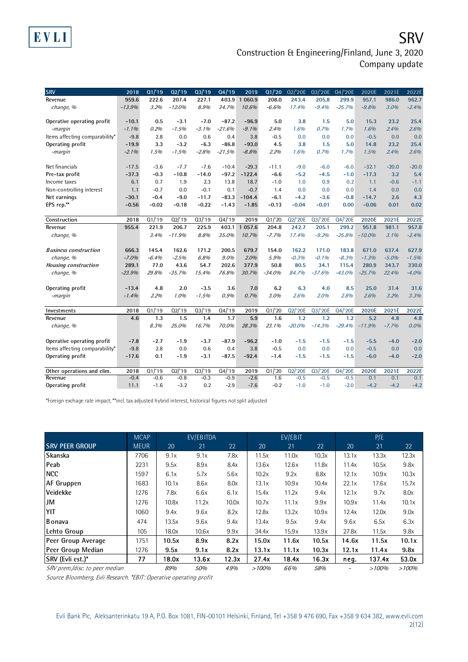**SRV** Construction & Engineering/Finland, June 3, 2020 Company update

| <b>SRV</b>                     | 2018     | Q1/19   | 02/19    | 03/19   | 04/19    | 2019       | Q1/20    | 02/'20E  | 03/'20E  | Q4/'20E  | 2020E     | 2021E   | 2022E   |
|--------------------------------|----------|---------|----------|---------|----------|------------|----------|----------|----------|----------|-----------|---------|---------|
| Revenue                        | 959.6    | 222.6   | 207.4    | 227.1   | 403.9    | 1 060.9    | 208.0    | 243.4    | 205.8    | 299.9    | 957.1     | 986.0   | 962.7   |
| change, %                      | $-13.9%$ | 3.2%    | $-12.0%$ | 8.9%    | 34.7%    | 10.6%      | $-6.6%$  | 17.4%    | $-9.4%$  | $-25.7%$ | $-9.8%$   | 3.0%    | $-2.4%$ |
|                                |          |         |          |         |          |            |          |          |          |          |           |         |         |
| Operative operating profit     | $-10.1$  | 0.5     | $-3.1$   | $-7.0$  | $-87.2$  | $-96.9$    | 5.0      | 3.8      | 1.5      | 5.0      | 15.3      | 23.2    | 25.4    |
| -margin                        | $-1.1%$  | 0.2%    | $-1.5%$  | $-3.1%$ | $-21.6%$ | $-9.1%$    | 2.4%     | 1.6%     | 0.7%     | 1.7%     | 1.6%      | 2.4%    | 2.6%    |
| Items affecting comparability* | $-9.8$   | 2.8     | 0.0      | 0.6     | 0.4      | 3.8        | $-0.5$   | 0.0      | 0.0      | 0.0      | $-0.5$    | 0.0     | 0.0     |
| Operating profit               | $-19.9$  | 3.3     | $-3.2$   | $-6.3$  | $-86.8$  | $-93.0$    | 4.5      | 3.8      | 1.5      | 5.0      | 14.8      | 23.2    | 25.4    |
| -margin                        | $-2.1%$  | 1.5%    | $-1.5%$  | $-2.8%$ | $-21.5%$ | $-8.8%$    | 2.2%     | 1.6%     | 0.7%     | 1.7%     | 1.5%      | 2.4%    | 2.6%    |
|                                |          |         |          |         |          |            |          |          |          |          |           |         |         |
| Net financials                 | $-17.5$  | $-3.6$  | $-7.7$   | $-7.6$  | $-10.4$  | $-29.3$    | $-11.1$  | $-9.0$   | $-6.0$   | $-6.0$   | $-32.1$   | $-20.0$ | $-20.0$ |
| Pre-tax profit                 | $-37.3$  | $-0.3$  | $-10.8$  | $-14.0$ | $-97.2$  | $-122.4$   | $-6.6$   | $-5.2$   | $-4.5$   | $-1.0$   | $-17.3$   | 3.2     | 5.4     |
| Income taxes                   | 6.1      | 0.7     | 1.9      | 2.3     | 13.8     | 18.7       | $-1.0$   | 1.0      | 0.9      | 0.2      | 1.1       | $-0.6$  | $-1.1$  |
| Non-controlling interest       | 1.1      | $-0.7$  | 0.0      | $-0.1$  | 0.1      | $-0.7$     | 1.4      | 0.0      | 0.0      | 0.0      | 1.4       | 0.0     | 0.0     |
| Net earnings                   | $-30.1$  | $-0.4$  | $-9.0$   | $-11.7$ | $-83.3$  | $-104.4$   | $-6.1$   | $-4.2$   | $-3.6$   | $-0.8$   | $-14.7$   | 2.6     | 4.3     |
| EPS rep.**                     | $-0.56$  | $-0.02$ | $-0.18$  | $-0.22$ | $-1.43$  | $-1.85$    | $-0.13$  | $-0.04$  | $-0.01$  | 0.00     | $-0.06$   | 0.01    | 0.02    |
|                                |          |         |          |         |          |            |          |          |          |          |           |         |         |
| Construction                   | 2018     | Q1/19   | Q2/19    | Q3/19   | Q4/19    | 2019       | Q1/20    | Q2/'20E  | Q3/'20E  | Q4/'20E  | 2020E     | 2021E   | 2022E   |
| Revenue                        | 955.4    | 221.9   | 206.7    | 225.9   | 403.1    | 1 0 5 7 .6 | 204.8    | 242.7    | 205.1    | 299.2    | 951.8     | 981.1   | 957.8   |
| change, %                      |          | 3.4%    | $-11.9%$ | 8.8%    | 35.0%    | 10.7%      | $-7.7%$  | 17.4%    | $-9.2%$  | $-25.8%$ | $-10.0\%$ | 3.1%    | $-2.4%$ |
|                                |          |         |          |         |          |            |          |          |          |          |           |         |         |
| <b>Business construction</b>   | 666.3    | 145.4   | 162.6    | 171.2   | 200.5    | 679.7      | 154.0    | 162.2    | 171.0    | 183.8    | 671.0     | 637.4   | 627.9   |
| change, %                      | $-7.0%$  | $-6.4%$ | $-2.5%$  | 6.8%    | $9.0\%$  | $2.0\%$    | 5.9%     | $-0.3%$  | $-0.1%$  | $-8.3%$  | $-1.3%$   | $-5.0%$ | $-1.5%$ |
| Housing construction           | 289.1    | 77.0    | 43.6     | 54.7    | 202.6    | 377.9      | 50.8     | 80.5     | 34.1     | 115.4    | 280.9     | 343.7   | 330.0   |
| change, %                      | $-23.9%$ | 29.8%   | $-35.7%$ | 15.4%   | 76.8%    | 30.7%      | $-34.0%$ | 84.7%    | $-37.6%$ | $-43.0%$ | $-25.7%$  | 22.4%   | $-4.0%$ |
|                                |          |         |          |         |          |            |          |          |          |          |           |         |         |
| Operating profit               | $-13.4$  | 4.8     | 2.0      | $-3.5$  | 3.6      | 7.0        | 6.2      | 6.3      | 4.0      | 8.5      | 25.0      | 31.4    | 31.6    |
| -margin                        | $-1.4%$  | 2.2%    | 1.0%     | $-1.5%$ | 0.9%     | 0.7%       | 3.0%     | 2.6%     | 2.0%     | 2.8%     | 2.6%      | 3.2%    | 3.3%    |
|                                |          |         |          |         |          |            |          |          |          |          |           |         |         |
| Investments                    | 2018     | Q1/19   | Q2'19    | Q3/19   | Q4/19    | 2019       | Q1/20    | Q2/'20E  | Q3/'20E  | Q4/'20E  | 2020E     | 2021E   | 2022E   |
| Revenue                        | 4.6      | 1.3     | 1.5      | 1.4     | 1.7      | 5.9        | 1.6      | 1.2      | 1.2      | 1.2      | 5.2       | 4.8     | 4.8     |
| change, %                      |          | 8.3%    | 25.0%    | 16.7%   | 70.0%    | 28.3%      | 23.1%    | $-20.0%$ | $-14.3%$ | $-29.4%$ | $-11.9%$  | $-7.7%$ | 0.0%    |
|                                |          |         |          |         |          |            |          |          |          |          |           |         |         |
| Operative operating profit     | $-7.8$   | $-2.7$  | $-1.9$   | $-3.7$  | $-87.9$  | $-96.2$    | $-1.0$   | $-1.5$   | $-1.5$   | $-1.5$   | $-5.5$    | $-4.0$  | $-2.0$  |
| Items affecting comparability* | $-9.8$   | 2.8     | 0.0      | 0.6     | 0.4      | 3.8        | $-0.5$   | 0.0      | 0.0      | 0.0      | $-0.5$    | 0.0     | 0.0     |
| Operating profit               | $-17.6$  | 0.1     | $-1.9$   | $-3.1$  | $-87.5$  | $-92.4$    | $-1.4$   | $-1.5$   | $-1.5$   | $-1.5$   | $-6.0$    | $-4.0$  | $-2.0$  |
| Other operations and elim.     | 2018     | Q1/19   | Q2'19    | Q3/19   | Q4/19    | 2019       | Q1/20    | Q2/'20E  | Q3/'20E  | Q4/'20E  | 2020E     | 2021E   | 2022E   |
| Revenue                        | $-0.4$   | $-0.6$  | $-0.8$   | $-0.3$  | $-0.9$   | $-2.6$     | 1.6      | $-0.5$   | $-0.5$   | $-0.5$   | 0.1       | 0.1     | 0.1     |
| Operating profit               | 11.1     | $-1.6$  | $-3.2$   | 0.2     | $-2.9$   | $-7.6$     | $-0.2$   | $-1.0$   | $-1.0$   | $-2.0$   | $-4.2$    | $-4.2$  | $-4.2$  |

\*Foreign exchage rate impact, \*\*incl. tax adjusted hybrid interest, historical figures not split adjusted

EVLI

|                                | <b>MCAP</b> |       | EV/EBITDA |       |       | EV/EBIT |       |       | P/E    |       |
|--------------------------------|-------------|-------|-----------|-------|-------|---------|-------|-------|--------|-------|
| <b>SRV PEER GROUP</b>          | <b>MEUR</b> | 20    | 21        | 22    | 20    | 21      | 22    | 20    | 21     | 22    |
| Skanska                        | 7706        | 9.1x  | 9.1x      | 7.8x  | 11.5x | 11.0x   | 10.3x | 13.1x | 13.3x  | 12.3x |
| Peab                           | 2231        | 9.5x  | 8.9x      | 8.4x  | 13.6x | 12.6x   | 11.8x | 11.4x | 10.5x  | 9.8x  |
| <b>NCC</b>                     | 1597        | 6.1x  | 5.7x      | 5.6x  | 10.2x | 9.2x    | 8.8x  | 12.1x | 10.9x  | 10.3x |
| <b>AF Gruppen</b>              | 1683        | 10.1x | 8.6x      | 8.0x  | 13.1x | 10.9x   | 10.4x | 22.1x | 17.6x  | 15.7x |
| Veidekke                       | 1276        | 7.8x  | 6.6x      | 6.1x  | 15.4x | 11.2x   | 9.4x  | 12.1x | 9.7x   | 8.0x  |
| <b>JM</b>                      | 1276        | 10.8x | 11.2x     | 10.0x | 10.7x | 11.1x   | 9.9x  | 10.9x | 11.4x  | 10.1x |
| YIT                            | 1060        | 9.4x  | 9.6x      | 8.2x  | 12.8x | 13.2x   | 10.9x | 12.4x | 12.0x  | 9.0x  |
| <b>B</b> onava                 | 474         | 13.5x | 9.6x      | 9.4x  | 13.4x | 9.5x    | 9.4x  | 9.6x  | 6.5x   | 6.3x  |
| Lehto Group                    | 105         | 18.0x | 10.6x     | 9.9x  | 34.4x | 15.9x   | 13.9x | 27.8x | 11.5x  | 9.8x  |
| Peer Group Average             | 1751        | 10.5x | 8.9x      | 8.2x  | 15.0x | 11.6x   | 10.5x | 14.6x | 11.5x  | 10.1x |
| Peer Group Median              | 1276        | 9.5x  | 9.1x      | 8.2x  | 13.1x | 11.1x   | 10.3x | 12.1x | 11.4x  | 9.8x  |
| SRV (Evli est.)*               | 77          | 18.0x | 13.6x     | 12.3x | 27.4x | 18.4x   | 16.3x | neg.  | 137.4x | 53.0x |
| SRV prem./disc. to peer median |             | 89%   | 50%       | 49%   | >100% | 66%     | 58%   |       | >100%  | >100% |

Source Bloomberg, Evli Research. \*EBIT: Operative operating profit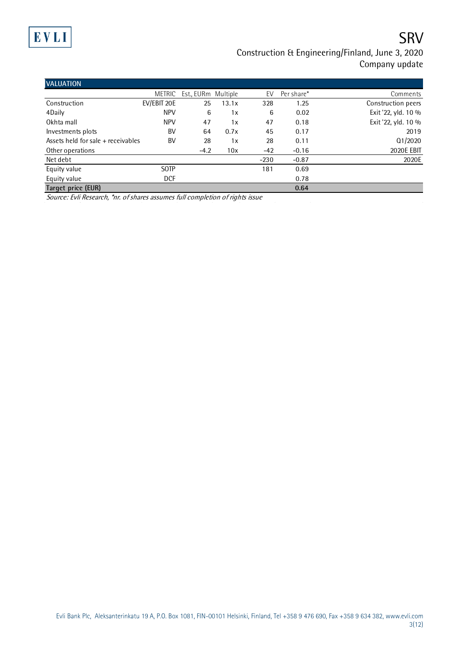# EVLI

# **SRV**

### Construction & Engineering/Finland, June 3, 2020 Company update

| <b>VALUATION</b>                   |               |                     |       |        |            |                     |
|------------------------------------|---------------|---------------------|-------|--------|------------|---------------------|
|                                    | <b>METRIC</b> | Est., EURm Multiple |       | EV     | Per share* | Comments            |
| Construction                       | EV/EBIT 20E   | 25                  | 13.1x | 328    | 1.25       | Construction peers  |
| 4Daily                             | <b>NPV</b>    | 6                   | 1x    | 6      | 0.02       | Exit '22, yld. 10 % |
| Okhta mall                         | <b>NPV</b>    | 47                  | 1x    | 47     | 0.18       | Exit '22, yld. 10 % |
| Investments plots                  | BV            | 64                  | 0.7x  | 45     | 0.17       | 2019                |
| Assets held for sale + receivables | BV            | 28                  | 1x    | 28     | 0.11       | Q1/2020             |
| Other operations                   |               | $-4.2$              | 10x   | $-42$  | $-0.16$    | <b>2020E EBIT</b>   |
| Net debt                           |               |                     |       | $-230$ | $-0.87$    | 2020E               |
| Equity value                       | <b>SOTP</b>   |                     |       | 181    | 0.69       |                     |
| Equity value                       | <b>DCF</b>    |                     |       |        | 0.78       |                     |
| Target price (EUR)                 |               |                     |       |        | 0.64       |                     |

Source: Evli Research, \*nr. of shares assumes full completion of rights issue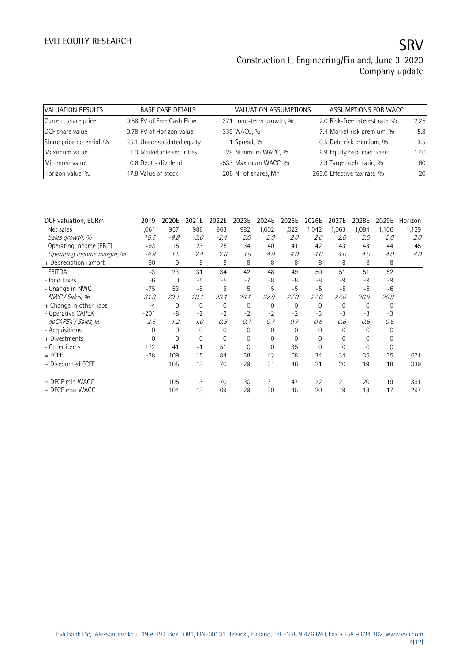| VALUATION RESULTS        | <b>BASE CASE DETAILS</b>   | VALUATION ASSUMPTIONS   | ASSUMPTIONS FOR WACC           |      |
|--------------------------|----------------------------|-------------------------|--------------------------------|------|
| Current share price      | 0.58 PV of Free Cash Flow  | 371 Long-term growth, % | 2.0 Risk-free interest rate, % | 2.25 |
| DCF share value          | 0.78 PV of Horizon value   | 339 WACC, %             | 7.4 Market risk premium, %     | 5.8  |
| Share price potential, % | 35.1 Unconsolidated equity | 1 Spread, %             | 0.5 Debt risk premium, %       | 3.5  |
| Maximum value            | 1.0 Marketable securities  | 28 Minimum WACC, %      | 6.9 Equity beta coefficient    | 1.40 |
| Minimum value            | 0.6 Debt - dividend        | -533 Maximum WACC, %    | 7.9 Target debt ratio, %       | 60   |
| Horizon value, %         | 47.8 Value of stock        | 206 Nr of shares, Mn    | 263.0 Effective tax rate, %    | 20   |

| DCF valuation, EURm        | 2019     | 2020E       | 2021E    | 2022E  | 2023E          | 2024E    | 2025E | 2026E       | 2027E    | 2028E          | 2029E        | Horizon |
|----------------------------|----------|-------------|----------|--------|----------------|----------|-------|-------------|----------|----------------|--------------|---------|
| Net sales                  | 1,061    | 957         | 986      | 963    | 982            | 1,002    | 1,022 | 1,042       | 1,063    | 1,084          | 1,106        | 1,129   |
| Sales growth, %            | 10.5     | $-9.8$      | 3.0      | $-2.4$ | 2.0            | 2.0      | 2.0   | 2.0         | 2.0      | 2.0            | 2.0          | 2.0     |
| Operating income (EBIT)    | $-93$    | 15          | 23       | 25     | 34             | 40       | 41    | 42          | 43       | 43             | 44           | 45      |
| Operating income margin, % | $-8.8$   | 1.5         | 2.4      | 2.6    | 3.5            | 4.0      | 4.0   | 4.0         | 4.0      | 4.0            | 4.0          | 4.0     |
| + Depreciation+amort.      | 90       | 9           | 8        | 8      | 8              | 8        | 8     | 8           | 8        | 8              | 8            |         |
| <b>EBITDA</b>              | $-3$     | 23          | 31       | 34     | 42             | 48       | 49    | 50          | 51       | 51             | 52           |         |
| - Paid taxes               | $-6$     | $\mathbf 0$ | $-5$     | $-5$   | $-7$           | $-8$     | -8    | -8          | $-9$     | $-9$           | $-9$         |         |
| - Change in NWC            | $-75$    | 53          | -8       | 6      | 5              | 5        | $-5$  | $-5$        | $-5$     | $-5$           | $-6$         |         |
| NWC / Sales, %             | 31.3     | 29.1        | 29.1     | 29.1   | 28.1           | 27.0     | 27.0  | 27.0        | 27.0     | 26.9           | 26.9         |         |
| + Change in other liabs    | $-4$     | $\mathbf 0$ | 0        | 0      | $\mathbf{0}$   | $\Omega$ | 0     | $\mathbf 0$ | $\Omega$ | $\Omega$       | $\mathbf 0$  |         |
| - Operative CAPEX          | $-201$   | -8          | $-2$     | $-2$   | $-2$           | $-2$     | $-2$  | $-3$        | $-3$     | $-3$           | $-3$         |         |
| opCAPEX / Sales, %         | 2.5      | 1.2         | 1.0      | 0.5    | 0.7            | 0.7      | 0.7   | 0.6         | 0.6      | 0.6            | 0.6          |         |
| - Acquisitions             | $\Omega$ | $\mathbf 0$ | $\Omega$ | 0      | $\mathbf{0}$   | 0        | 0     | 0           | $\Omega$ | $\overline{0}$ | 0            |         |
| + Divestments              | 0        | 0           | 0        | 0      | $\mathbf{0}$   | 0        | 0     | 0           | 0        | 0              | 0            |         |
| - Other items              | 172      | 41          | $-1$     | 51     | $\overline{0}$ | $\Omega$ | 35    | $\Omega$    | $\Omega$ | 0              | $\mathbf{0}$ |         |
| $=$ FCFF                   | $-38$    | 109         | 15       | 84     | 38             | 42       | 68    | 34          | 34       | 35             | 35           | 671     |
| $=$ Discounted FCFF        |          | 105         | 13       | 70     | 29             | 31       | 46    | 21          | 20       | 19             | 18           | 339     |
|                            |          |             |          |        |                |          |       |             |          |                |              |         |
| = DFCF min WACC            |          | 105         | 13       | 70     | 30             | 31       | 47    | 22          | 21       | 20             | 19           | 391     |
| $=$ DFCF max WACC          |          | 104         | 13       | 69     | 29             | 30       | 45    | 20          | 19       | 18             | 17           | 297     |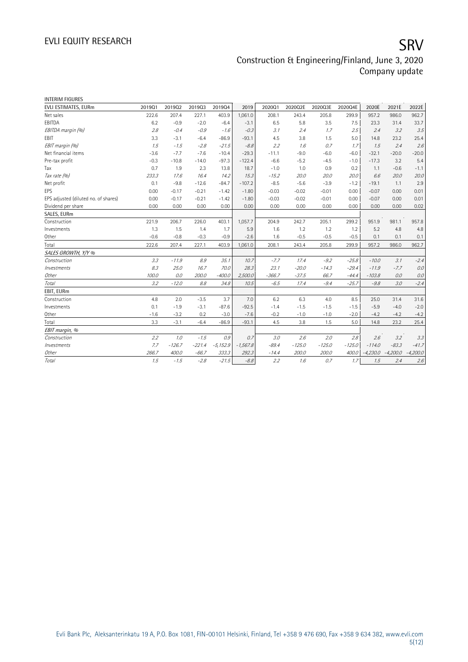| <b>INTERIM FIGURES</b>               |        |          |          |            |            |          |          |          |          |            |            |            |
|--------------------------------------|--------|----------|----------|------------|------------|----------|----------|----------|----------|------------|------------|------------|
| EVLI ESTIMATES, EURm                 | 201901 | 201902   | 201903   | 201904     | 2019       | 202001   | 2020Q2E  | 2020Q3E  | 2020Q4E  | 2020E      | 2021E      | 2022E      |
| Net sales                            | 222.6  | 207.4    | 227.1    | 403.9      | 1,061.0    | 208.1    | 243.4    | 205.8    | 299.9    | 957.2      | 986.0      | 962.7      |
| EBITDA                               | 6.2    | $-0.9$   | $-2.0$   | $-6.4$     | $-3.1$     | 6.5      | 5.8      | 3.5      | 7.5      | 23.3       | 31.4       | 33.7       |
| EBITDA margin (%)                    | 2.8    | $-0.4$   | $-0.9$   | $-1.6$     | $-0.3$     | 3.1      | 2.4      | 1.7      | 2.5      | 2.4        | 3.2        | 3.5        |
| <b>FBIT</b>                          | 3.3    | $-3.1$   | $-6.4$   | $-86.9$    | $-93.1$    | 4.5      | 3.8      | 1.5      | 5.0      | 14.8       | 23.2       | 25.4       |
| EBIT margin (%)                      | 7.5    | $-7.5$   | $-2.8$   | $-21.5$    | $-8.8$     | 2.2      | 1.6      | 0.7      | 1.7      | 1.5        | 2.4        | 2.6        |
| Net financial items                  | $-3.6$ | $-7.7$   | $-7.6$   | $-10.4$    | $-29.3$    | $-11.1$  | $-9.0$   | $-6.0$   | $-6.0$   | $-32.1$    | $-20.0$    | $-20.0$    |
| Pre-tax profit                       | $-0.3$ | $-10.8$  | $-14.0$  | $-97.3$    | $-122.4$   | $-6.6$   | $-5.2$   | $-4.5$   | $-1.0$   | $-17.3$    | 3.2        | 5.4        |
| Tax                                  | 0.7    | 1.9      | 2.3      | 13.8       | 18.7       | $-1.0$   | 1.0      | 0.9      | 0.2      | 1.1        | $-0.6$     | $-1.1$     |
| Tax rate (%)                         | 233.3  | 17.6     | 16.4     | 14.2       | 15.3       | $-15.2$  | 20.0     | 20.0     | 20.0     | 6.6        | 20.0       | 20.0       |
| Net profit                           | 0.1    | $-9.8$   | $-12.6$  | $-84.7$    | $-107.2$   | $-8.5$   | $-5.6$   | $-3.9$   | $-1.2$   | $-19.1$    | 1.1        | 2.9        |
| <b>EPS</b>                           | 0.00   | $-0.17$  | $-0.21$  | $-1.42$    | $-1.80$    | $-0.03$  | $-0.02$  | $-0.01$  | 0.00     | $-0.07$    | 0.00       | 0.01       |
| EPS adjusted (diluted no. of shares) | 0.00   | $-0.17$  | $-0.21$  | $-1.42$    | $-1.80$    | $-0.03$  | $-0.02$  | $-0.01$  | 0.00     | $-0.07$    | 0.00       | 0.01       |
| Dividend per share                   | 0.00   | 0.00     | 0.00     | 0.00       | 0.00       | 0.00     | 0.00     | 0.00     | 0.00     | 0.00       | 0.00       | 0.02       |
| SALES, EURm                          |        |          |          |            |            |          |          |          |          |            |            |            |
| Construction                         | 221.9  | 206.7    | 226.0    | 403.1      | 1,057.7    | 204.9    | 242.7    | 205.1    | 299.2    | 951.9      | 981.1      | 957.8      |
| Investments                          | 1.3    | 1.5      | 1.4      | 1.7        | 5.9        | 1.6      | 1.2      | 1.2      | 1.2      | 5.2        | 4.8        | 4.8        |
| Other                                | $-0.6$ | $-0.8$   | $-0.3$   | $-0.9$     | $-2.6$     | 1.6      | $-0.5$   | $-0.5$   | $-0.5$   | 0.1        | 0.1        | 0.1        |
| Total                                | 222.6  | 207.4    | 227.1    | 403.9      | 1,061.0    | 208.1    | 243.4    | 205.8    | 299.9    | 957.2      | 986.0      | 962.7      |
| SALES GROWTH, Y/Y %                  |        |          |          |            |            |          |          |          |          |            |            |            |
| Construction                         | 3.3    | $-11.9$  | 8.9      | 35.1       | 10.7       | $-7.7$   | 17.4     | $-9.2$   | $-25.8$  | $-10.0$    | 3.1        | $-2.4$     |
| Investments                          | 8.3    | 25.0     | 16.7     | 70.0       | 28.3       | 23.1     | $-20.0$  | $-14.3$  | $-29.4$  | $-11.9$    | $-7.7$     | 0.0        |
| Other                                | 100.0  | 0.0      | 200.0    | $-400.0$   | 2,500.0    | $-366.7$ | $-37.5$  | 66.7     | $-44.4$  | $-103.8$   | 0.0        | 0.0        |
| Total                                | 3.2    | $-12.0$  | 8.8      | 34.8       | 10.5       | $-6.5$   | 17.4     | $-9.4$   | $-25.7$  | $-9.8$     | 3.0        | $-2.4$     |
| EBIT, EURm                           |        |          |          |            |            |          |          |          |          |            |            |            |
| Construction                         | 4.8    | 2.0      | $-3.5$   | 3.7        | 7.0        | 6.2      | 6.3      | 4.0      | 8.5      | 25.0       | 31.4       | 31.6       |
| Investments                          | 0.1    | $-1.9$   | $-3.1$   | $-87.6$    | $-92.5$    | $-1.4$   | $-1.5$   | $-1.5$   | $-1.5$   | $-5.9$     | $-4.0$     | $-2.0$     |
| Other                                | $-1.6$ | $-3.2$   | 0.2      | $-3.0$     | $-7.6$     | $-0.2$   | $-1.0$   | $-1.0$   | $-2.0$   | $-4.2$     | $-4.2$     | $-4.2$     |
| Total                                | 3.3    | $-3.1$   | $-6.4$   | $-86.9$    | $-93.1$    | 4.5      | 3.8      | 1.5      | 5.0      | 14.8       | 23.2       | 25.4       |
| EBIT margin, %                       |        |          |          |            |            |          |          |          |          |            |            |            |
| Construction                         | 2.2    | 1.0      | $-1.5$   | 0.9        | 0.7        | 3.0      | 2.6      | 2.0      | 2.8      | 2.6        | 3.2        | 3.3        |
| Investments                          | 7.7    | $-126.7$ | $-221.4$ | $-5,152.9$ | $-1,567.8$ | $-89.4$  | $-125.0$ | $-125.0$ | $-125.0$ | $-114.0$   | $-83.3$    | $-41.7$    |
| Other                                | 266.7  | 400.0    | $-66.7$  | 333.3      | 292.3      | $-14.4$  | 200.0    | 200.0    | 400.0    | $-4,230.0$ | $-4,200.0$ | $-4,200.0$ |
| Total                                | 1.5    | $-1.5$   | $-2.8$   | $-21.5$    | $-8.8$     | 2.2      | 1.6      | 0.7      | 1.7      | 1.5        | 2.4        | 2.6        |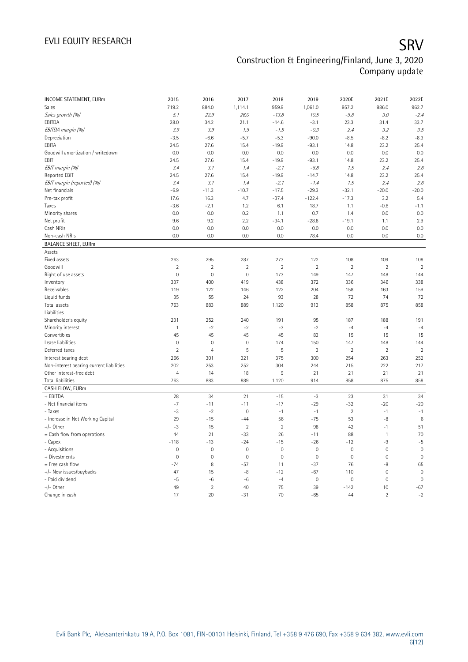| INCOME STATEMENT, EURm                   | 2015           | 2016           | 2017                | 2018           | 2019           | 2020E               | 2021E          | 2022E          |
|------------------------------------------|----------------|----------------|---------------------|----------------|----------------|---------------------|----------------|----------------|
| Sales                                    | 719.2          | 884.0          | 1,114.1             | 959.9          | 1,061.0        | 957.2               | 986.0          | 962.7          |
| Sales growth (%)                         | 5.1            | 22.9           | 26.0                | $-13.8$        | 10.5           | $-9.8$              | 3.0            | $-2.4$         |
| EBITDA                                   | 28.0           | 34.2           | 21.1                | $-14.6$        | $-3.1$         | 23.3                | 31.4           | 33.7           |
| EBITDA margin (%)                        | 3.9            | 3.9            | 1.9                 | $-1.5$         | $-0.3$         | 2.4                 | 3.2            | 3.5            |
| Depreciation                             | $-3.5$         | $-6.6$         | $-5.7$              | $-5.3$         | $-90.0$        | $-8.5$              | $-8.2$         | $-8.3$         |
| EBITA                                    | 24.5           | 27.6           | 15.4                | $-19.9$        | $-93.1$        | 14.8                | 23.2           | 25.4           |
| Goodwill amortization / writedown        | 0.0            | 0.0            | 0.0                 | 0.0            | 0.0            | 0.0                 | 0.0            | 0.0            |
| EBIT                                     | 24.5           | 27.6           | 15.4                | $-19.9$        | $-93.1$        | 14.8                | 23.2           | 25.4           |
| EBIT margin (%)                          | 3.4            | 3.1            | 1.4                 | $-2.1$         | $-8.8$         | 1.5                 | 2.4            | 2.6            |
| Reported EBIT                            | 24.5           | 27.6           | 15.4                | $-19.9$        | $-14.7$        | 14.8                | 23.2           | 25.4           |
| EBIT margin (reported) (%)               | 3.4            | 3.1            | 1.4                 | $-2.1$         | $-1.4$         | 1.5                 | 2.4            | 2.6            |
| Net financials                           | $-6.9$         | $-11.3$        | $-10.7$             | $-17.5$        | $-29.3$        | $-32.1$             | $-20.0$        | $-20.0$        |
| Pre-tax profit                           | 17.6           | 16.3           | 4.7                 | $-37.4$        | $-122.4$       | $-17.3$             | 3.2            | 5.4            |
| Taxes                                    | $-3.6$         | $-2.1$         | 1.2                 | 6.1            | 18.7           | 1.1                 | $-0.6$         | $-1.1$         |
| Minority shares                          | 0.0            | 0.0            | 0.2                 | 1.1            | 0.7            | 1.4                 | 0.0            | 0.0            |
| Net profit                               | 9.6            | 9.2            | 2.2                 | $-34.1$        | $-28.8$        | $-19.1$             | 1.1            | 2.9            |
| Cash NRIs                                | 0.0            | 0.0            | 0.0                 | 0.0            | 0.0            | 0.0                 | 0.0            | 0.0            |
| Non-cash NRIs                            | 0.0            | 0.0            | 0.0                 | 0.0            | 78.4           | 0.0                 | 0.0            | 0.0            |
| <b>BALANCE SHEET, EURm</b>               |                |                |                     |                |                |                     |                |                |
| Assets                                   |                |                |                     |                |                |                     |                |                |
| Fixed assets                             | 263            | 295            | 287                 | 273            | 122            | 108                 | 109            | 108            |
| Goodwill                                 | $\overline{2}$ | $\overline{2}$ | $\overline{2}$      | $\overline{2}$ | $\overline{2}$ | $\overline{2}$      | $\overline{2}$ | $\overline{2}$ |
| Right of use assets                      | $\mathbf 0$    | $\mathbf 0$    | 0                   | 173            | 149            | 147                 | 148            | 144            |
| Inventory                                | 337            | 400            | 419                 | 438            | 372            | 336                 | 346            | 338            |
| Receivables                              | 119            | 122            | 146                 | 122            | 204            | 158                 | 163            | 159            |
| Liquid funds                             | 35             | 55             | 24                  | 93             | 28             | 72                  | 74             | 72             |
| Total assets                             | 763            | 883            | 889                 | 1,120          | 913            | 858                 | 875            | 858            |
| Liabilities                              |                |                |                     |                |                |                     |                |                |
| Shareholder's equity                     | 231            | 252            | 240                 | 191            | 95             | 187                 | 188            | 191            |
| Minority interest                        | $\mathbf{1}$   | $-2$           | $-2$                | -3             | $-2$           | $-4$                | $-4$           | $-4$           |
| Convertibles                             | 45             | 45             | 45                  | 45             | 83             | 15                  | 15             | 15             |
| Lease liabilities                        | $\mathbf 0$    | $\mathbf 0$    | 0                   | 174            | 150            | 147                 | 148            | 144            |
| Deferred taxes                           | $\overline{2}$ | $\overline{4}$ | 5                   | 5              | 3              | $\overline{2}$      | $\overline{2}$ | $\overline{2}$ |
| Interest bearing debt                    | 266            | 301            | 321                 | 375            | 300            | 254                 | 263            | 252            |
| Non-interest bearing current liabilities | 202            | 253            | 252                 | 304            | 244            | 215                 | 222            | 217            |
| Other interest-free debt                 | $\overline{4}$ | 14             | 18                  | $9\,$          | 21             | 21                  | 21             | 21             |
| Total liabilities                        | 763            | 883            | 889                 | 1,120          | 914            | 858                 | 875            | 858            |
| CASH FLOW, EURm                          |                |                |                     |                |                |                     |                |                |
| + EBITDA                                 | 28             | 34             | 21                  | $-15$          | $-3$           | 23                  | 31             | 34             |
| - Net financial items                    | $-7$           | $-11$          | $-11$               | $-17$          | $-29$          | $-32$               | $-20$          | $-20$          |
| - Taxes                                  | $-3$           | $-2$           | $\mathsf{O}\xspace$ | $-1$           | $-1$           | $\overline{2}$      | $-1$           | $-1$           |
| - Increase in Net Working Capital        | 29             | $-15$          | $-44$               | 56             | $-75$          | 53                  | -8             | 6              |
| +/- Other                                | $-3$           | 15             | $\overline{2}$      | $\overline{2}$ | 98             | 42                  | $-1$           | 51             |
| = Cash flow from operations              | 44             | 21             | $-33$               | 26             | $-11$          | 88                  | $\mathbf{1}$   | 70             |
| - Capex                                  | $-118$         | $-13$          | $-24$               | $-15$          | $-26$          | $-12$               | -9             | $-5$           |
| - Acquisitions                           | $\mathbf 0$    | $\mathbf 0$    | $\mathsf{O}\xspace$ | $\mathbf 0$    | $\mathbf 0$    | $\mathsf{O}\xspace$ | $\mathbf 0$    | $\mathbf 0$    |
| + Divestments                            | $\overline{0}$ | $\mathbf 0$    | $\mathbf 0$         | $\mathbf{0}$   | $\mathbf 0$    | $\mathsf{O}\xspace$ | $\mathbf 0$    | $\mathbf{0}$   |
| = Free cash flow                         | $-74$          | 8              | $-57$               | 11             | $-37$          | 76                  | -8             | 65             |
| +/- New issues/buybacks                  | 47             | 15             | -8                  | $-12$          | $-67$          | 110                 | $\mathbf 0$    | $\mathbf 0$    |
| - Paid dividend                          | $-5$           | $-6$           | $-6$                | $-4$           | $\mathbf 0$    | $\mathbf 0$         | $\mathbf 0$    | $\mathbf 0$    |
| $+/-$ Other                              | 49             | $\overline{2}$ | 40                  | 75             | 39             | $-142$              | 10             | $-67$          |
| Change in cash                           | 17             | 20             | $-31$               | 70             | $-65$          | 44                  | $\overline{2}$ | $-2$           |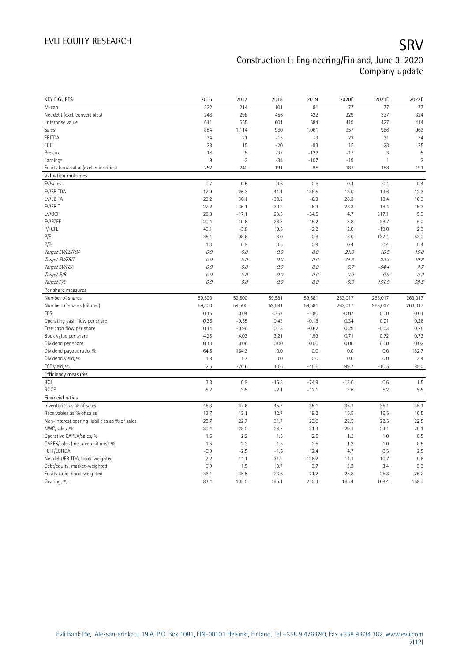| <b>KEY FIGURES</b>                             | 2016           | 2017          | 2018          | 2019          | 2020E         | 2021E         | 2022E         |
|------------------------------------------------|----------------|---------------|---------------|---------------|---------------|---------------|---------------|
| M-cap                                          | 322            | 214           | 101           | 81            | 77            | 77            | 77            |
| Net debt (excl. convertibles)                  | 246            | 298           | 456           | 422           | 329           | 337           | 324           |
| Enterprise value                               | 611            | 555           | 601           | 584           | 419           | 427           | 414           |
| Sales                                          | 884            | 1,114         | 960           | 1,061         | 957           | 986           | 963           |
| EBITDA                                         | 34             | 21            | $-15$         | $-3$          | 23            | 31            | 34            |
| EBIT                                           | 28             | 15            | $-20$         | $-93$         | 15            | 23            | 25            |
| Pre-tax                                        | 16             | 5             | $-37$         | $-122$        | $-17$         | 3             | 5             |
| Earnings                                       | $\overline{9}$ | $\sqrt{2}$    | $-34$         | $-107$        | $-19$         | $\mathbf{1}$  | 3             |
| Equity book value (excl. minorities)           | 252            | 240           | 191           | 95            | 187           | 188           | 191           |
| Valuation multiples                            |                |               |               |               |               |               |               |
| EV/sales                                       | 0.7            | 0.5           | 0.6           | 0.6           | 0.4           | 0.4           | 0.4           |
| EV/EBITDA                                      | 17.9           | 26.3          | $-41.1$       | $-188.5$      | 18.0          | 13.6          | 12.3          |
| EV/EBITA                                       | 22.2           | 36.1          | $-30.2$       | $-6.3$        | 28.3          | 18.4          | 16.3          |
| EV/EBIT                                        | 22.2           | 36.1          | $-30.2$       | $-6.3$        | 28.3          | 18.4          | 16.3          |
| EV/OCF                                         | 28.8           | $-17.1$       | 23.5          | $-54.5$       | 4.7           | 317.1         | 5.9           |
| EV/FCFF                                        | $-20.4$        | $-10.6$       | 26.3          | $-15.2$       | 3.8           | 28.7          | 5.0           |
| P/FCFE                                         | 40.1           | $-3.8$        | 9.5           | $-2.2$        | 2.0           | $-19.0$       | 2.3           |
| P/E                                            | 35.1           | 98.6          | $-3.0$        | $-0.8$        | $-8.0$        | 137.4         | 53.0          |
| P/B                                            | 1.3            | 0.9           | 0.5           | 0.9           | 0.4           | 0.4           | 0.4           |
| Target EV/EBITDA                               | 0.0            | 0.0           | 0.0           | O.O           | 21.8          | 16.5          | 15.0          |
| Target EV/EBIT                                 | 0.0            | 0.0           | 0.0           | O.O           | 34.3          | 22.3          | 19.8          |
| Target EV/FCF                                  | 0.0            | 0.0           | 0.0           | $O.O$         | 6.7           | $-64.4$       | 7.7           |
| Target P/B                                     | $O.O$          | 0.0           | 0.0           | 0.0           | 0.9           | 0.9           | 0.9           |
| Target P/E                                     | 0.0            | 0.0           | 0.0           | 0.0           | $-8.8$        | 151.6         | 58.5          |
| Per share measures                             |                |               |               |               |               |               |               |
|                                                |                |               |               |               |               |               |               |
|                                                |                |               |               |               |               |               |               |
| Number of shares                               | 59,500         | 59,500        | 59,581        | 59,581        | 263,017       | 263,017       | 263,017       |
| Number of shares (diluted)                     | 59,500         | 59,500        | 59,581        | 59,581        | 263,017       | 263,017       | 263,017       |
| EPS                                            | 0.15           | 0.04          | $-0.57$       | $-1.80$       | $-0.07$       | 0.00          | 0.01          |
| Operating cash flow per share                  | 0.36           | $-0.55$       | 0.43          | $-0.18$       | 0.34          | 0.01          | 0.26          |
| Free cash flow per share                       | 0.14           | $-0.96$       | 0.18          | $-0.62$       | 0.29          | $-0.03$       | 0.25          |
| Book value per share                           | 4.25           | 4.03          | 3.21          | 1.59          | 0.71          | 0.72          | 0.73          |
| Dividend per share                             | 0.10           | 0.06          | 0.00          | 0.00          | 0.00          | 0.00          | 0.02          |
| Dividend payout ratio, %                       | 64.5           | 164.3         | 0.0           | 0.0           | 0.0           | 0.0           | 182.7         |
| Dividend yield, %                              | 1.8            | 1.7           | 0.0           | 0.0           | 0.0           | 0.0           | 3.4           |
| FCF yield, %                                   | 2.5            | $-26.6$       | 10.6          | $-45.6$       | 99.7          | $-10.5$       | 85.0          |
| Efficiency measures                            |                |               |               |               |               |               |               |
| ROE                                            | 3.8            | 0.9           | $-15.8$       | $-74.9$       | $-13.6$       | 0.6           | 1.5           |
| ROCE                                           | 5.2            | 3.5           | $-2.1$        | $-12.1$       | 3.6           | 5.2           | 5.5           |
| Financial ratios                               |                |               |               |               |               |               |               |
| Inventories as % of sales                      | 45.3           | 37.6          | 45.7          | 35.1          | 35.1          | 35.1          | 35.1          |
| Receivables as % of sales                      | 13.7           | 13.1          | 12.7          | 19.2          | 16.5          | 16.5          | 16.5          |
| Non-interest bearing liabilities as % of sales | 28.7           | 22.7          | 31.7          | 23.0          | 22.5          | 22.5          | 22.5          |
| NWC/sales, %                                   | 30.4           | 28.0          | 26.7          | 31.3          | 29.1          | 29.1          | 29.1          |
| Operative CAPEX/sales, %                       | 1.5            | 2.2           | 1.5           | 2.5           | 1.2           | 1.0           | 0.5           |
| CAPEX/sales (incl. acquisitions), %            | 1.5            | 2.2           | 1.5           | 2.5           | 1.2           | 1.0           | 0.5           |
| FCFF/EBITDA                                    | $-0.9$         | $-2.5$        | $-1.6$        | 12.4          | 4.7           | 0.5           | 2.5           |
| Net debt/EBITDA, book-weighted                 | 7.2            | 14.1          | $-31.2$       | $-136.2$      | 14.1          | 10.7          | 9.6           |
| Debt/equity, market-weighted                   | 0.9            | 1.5           | 3.7           | 3.7           | 3.3           | 3.4           | 3.3           |
| Equity ratio, book-weighted<br>Gearing, %      | 36.1<br>83.4   | 35.5<br>105.0 | 23.6<br>195.1 | 21.2<br>240.4 | 25.8<br>165.4 | 25.3<br>168.4 | 26.2<br>159.7 |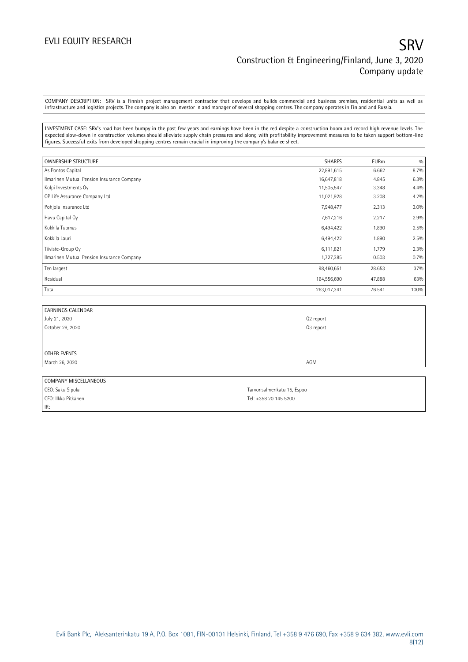### EVLI EQUITY RESEARCH SANTO THE SECOND STATE STATE STATES OF SANTO STATE STATES SANTO STATE STATES STATES STATES Construction & Engineering/Finland, June 3, 2020 Company update

COMPANY DESCRIPTION: SRV is a Finnish project management contractor that develops and builds commercial and business premises, residential units as well as infrastructure and logistics projects. The company is also an investor in and manager of several shopping centres. The company operates in Finland and Russia.

INVESTMENT CASE: SRV's road has been bumpy in the past few years and earnings have been in the red despite a construction boom and record high revenue levels. The expected slow-down in construction volumes should alleviate supply chain pressures and along with profitability improvement measures to be taken support bottom-line figures. Successful exits from developed shopping centres remain crucial in improving the company's balance sheet.

| <b>OWNERSHIP STRUCTURE</b>                 | <b>SHARES</b> | <b>EURm</b> | 0/0  |
|--------------------------------------------|---------------|-------------|------|
| As Pontos Capital                          | 22,891,615    | 6.662       | 8.7% |
| Ilmarinen Mutual Pension Insurance Company | 16,647,818    | 4.845       | 6.3% |
| Kolpi Investments Oy                       | 11,505,547    | 3.348       | 4.4% |
| OP Life Assurance Company Ltd              | 11,021,928    | 3.208       | 4.2% |
| Pohjola Insurance Ltd                      | 7,948,477     | 2.313       | 3.0% |
| Havu Capital Oy                            | 7,617,216     | 2.217       | 2.9% |
| Kokkila Tuomas                             | 6,494,422     | 1.890       | 2.5% |
| Kokkila Lauri                              | 6,494,422     | 1.890       | 2.5% |
| Tiiviste-Group Oy                          | 6,111,821     | 1.779       | 2.3% |
| Ilmarinen Mutual Pension Insurance Company | 1,727,385     | 0.503       | 0.7% |
| Ten largest                                | 98,460,651    | 28.653      | 37%  |
| Residual                                   | 164,556,690   | 47.888      | 63%  |
| Total                                      | 263,017,341   | 76.541      | 100% |

| <b>EARNINGS CALENDAR</b> |           |
|--------------------------|-----------|
| July 21, 2020            | Q2 report |
| October 29, 2020         | Q3 report |
|                          |           |
|                          |           |
| OTHER EVENTS             |           |
| March 26, 2020           | AGM       |
|                          |           |
| COMPANY MISCELLANEOUS    |           |

CEO: Saku Sipola Tarvonsalmenkatu 15, Espoo CFO: Ilkka Pitkänen Tel: +358 20 145 5200 IR:

Evli Bank Plc, Aleksanterinkatu 19 A, P.O. Box 1081, FIN-00101 Helsinki, Finland, Tel +358 9 476 690, Fax +358 9 634 382, [www.evli.com](http://www.evli.com/) 8(12)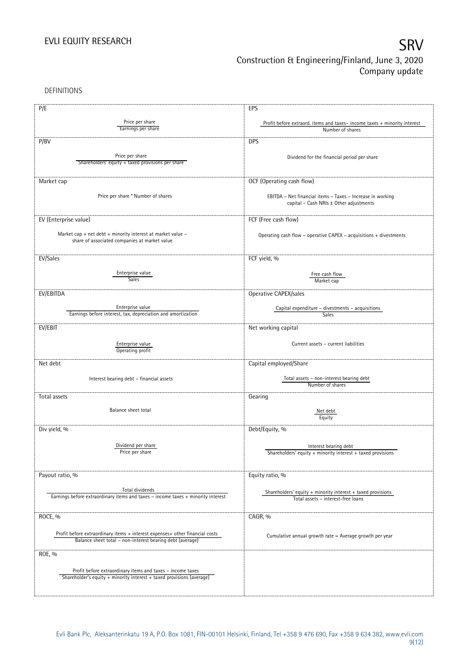DEFINITIONS

| P/E                                                                                                 | EPS                                                                      |
|-----------------------------------------------------------------------------------------------------|--------------------------------------------------------------------------|
|                                                                                                     |                                                                          |
| Price per share                                                                                     | Profit before extraord. items and taxes-income taxes + minority interest |
| Earnings per share                                                                                  | Number of shares                                                         |
| P/BV                                                                                                | <b>DPS</b>                                                               |
|                                                                                                     |                                                                          |
| Price per share<br>Shareholders' equity + taxed provisions per share                                | Dividend for the financial period per share                              |
|                                                                                                     |                                                                          |
|                                                                                                     |                                                                          |
| Market cap                                                                                          | OCF (Operating cash flow)                                                |
| Price per share * Number of shares                                                                  | EBITDA - Net financial items - Taxes - Increase in working               |
|                                                                                                     | capital - Cash NRIs ± Other adjustments                                  |
|                                                                                                     |                                                                          |
| EV (Enterprise value)                                                                               | FCF (Free cash flow)                                                     |
| Market cap + net debt + minority interest at market value -                                         | Operating cash flow - operative CAPEX - acquisitions + divestments       |
| share of associated companies at market value                                                       |                                                                          |
|                                                                                                     |                                                                          |
| EV/Sales                                                                                            | FCF yield, %                                                             |
|                                                                                                     |                                                                          |
| Enterprise value<br><b>Sales</b>                                                                    | Free cash flow                                                           |
|                                                                                                     | Market cap                                                               |
| EV/EBITDA                                                                                           | Operative CAPEX/sales                                                    |
|                                                                                                     |                                                                          |
| Enterprise value<br>Earnings before interest, tax, depreciation and amortization                    | Capital expenditure - divestments - acquisitions<br>Sales                |
|                                                                                                     |                                                                          |
| EV/EBIT                                                                                             | Net working capital                                                      |
|                                                                                                     |                                                                          |
| Enterprise value<br>Operating profit                                                                | Current assets - current liabilities                                     |
|                                                                                                     |                                                                          |
| Net debt                                                                                            | Capital employed/Share                                                   |
| Interest bearing debt - financial assets                                                            | Total assets - non-interest bearing debt                                 |
|                                                                                                     | Number of shares                                                         |
| Total assets                                                                                        | Gearing                                                                  |
|                                                                                                     |                                                                          |
| Balance sheet total                                                                                 | Net debt                                                                 |
|                                                                                                     | Equity                                                                   |
| Div yield, %                                                                                        | Debt/Equity, %                                                           |
|                                                                                                     |                                                                          |
| Dividend per share<br>Price per share                                                               | Interest bearing debt                                                    |
|                                                                                                     | Shareholders' equity + minority interest + taxed provisions              |
|                                                                                                     |                                                                          |
| Payout ratio, %                                                                                     | Equity ratio, %                                                          |
|                                                                                                     |                                                                          |
| Total dividends<br>Earnings before extraordinary items and taxes - income taxes + minority interest | Shareholders' equity $+$ minority interest $+$ taxed provisions          |
|                                                                                                     | Total assets - interest-free loans                                       |
| ROCE, %                                                                                             | CAGR, %                                                                  |
|                                                                                                     |                                                                          |
| Profit before extraordinary items + interest expenses+ other financial costs                        |                                                                          |
| Balance sheet total - non-interest bearing debt (average)                                           | Cumulative annual growth rate = Average growth per year                  |
|                                                                                                     |                                                                          |
| ROE, %                                                                                              |                                                                          |
| Profit before extraordinary items and taxes - income taxes                                          |                                                                          |
| Shareholder's equity + minority interest + taxed provisions (average)                               |                                                                          |
|                                                                                                     |                                                                          |
|                                                                                                     |                                                                          |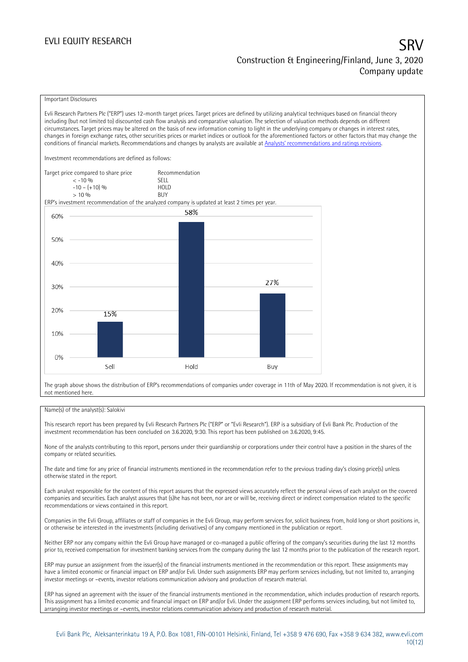### EVLI EQUITY RESEARCH

# Construction & Engineering/Finland, June 3, 2020 Company update

#### Important Disclosures

Evli Research Partners Plc ("ERP") uses 12-month target prices. Target prices are defined by utilizing analytical techniques based on financial theory including (but not limited to) discounted cash flow analysis and comparative valuation. The selection of valuation methods depends on different circumstances. Target prices may be altered on the basis of new information coming to light in the underlying company or changes in interest rates, changes in foreign exchange rates, other securities prices or market indices or outlook for the aforementioned factors or other factors that may change the conditions of financial markets. Recommendations and changes by analysts are available at Analy[sts' recommendations and ratings revisions](https://research.evli.com/JasperAllModels.action?authParam=key;461&authParam=x;G3rNagWrtf7K&authType=3). Investment recommendations are defined as follows: Target price compared to share price Recommendation < -10 % SELL



The graph above shows the distribution of ERP's recommendations of companies under coverage in 11th of May 2020. If recommendation is not given, it is not mentioned here.

#### Name(s) of the analyst(s): Salokivi

This research report has been prepared by Evli Research Partners Plc ("ERP" or "Evli Research"). ERP is a subsidiary of Evli Bank Plc. Production of the investment recommendation has been concluded on 3.6.2020, 9:30. This report has been published on 3.6.2020, 9:45.

None of the analysts contributing to this report, persons under their guardianship or corporations under their control have a position in the shares of the company or related securities.

The date and time for any price of financial instruments mentioned in the recommendation refer to the previous trading day's closing price(s) unless otherwise stated in the report.

Each analyst responsible for the content of this report assures that the expressed views accurately reflect the personal views of each analyst on the covered companies and securities. Each analyst assures that (s)he has not been, nor are or will be, receiving direct or indirect compensation related to the specific recommendations or views contained in this report.

Companies in the Evli Group, affiliates or staff of companies in the Evli Group, may perform services for, solicit business from, hold long or short positions in, or otherwise be interested in the investments (including derivatives) of any company mentioned in the publication or report.

Neither ERP nor any company within the Evli Group have managed or co-managed a public offering of the company's securities during the last 12 months prior to, received compensation for investment banking services from the company during the last 12 months prior to the publication of the research report.

ERP may pursue an assignment from the issuer(s) of the financial instruments mentioned in the recommendation or this report. These assignments may have a limited economic or financial impact on ERP and/or Evli. Under such assignments ERP may perform services including, but not limited to, arranging investor meetings or –events, investor relations communication advisory and production of research material.

ERP has signed an agreement with the issuer of the financial instruments mentioned in the recommendation, which includes production of research reports. This assignment has a limited economic and financial impact on ERP and/or Evli. Under the assignment ERP performs services including, but not limited to, arranging investor meetings or –events, investor relations communication advisory and production of research material.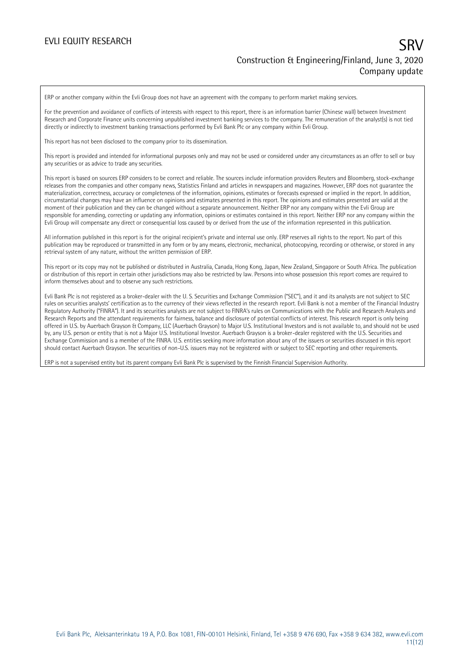ERP or another company within the Evli Group does not have an agreement with the company to perform market making services.

For the prevention and avoidance of conflicts of interests with respect to this report, there is an information barrier (Chinese wall) between Investment Research and Corporate Finance units concerning unpublished investment banking services to the company. The remuneration of the analyst(s) is not tied directly or indirectly to investment banking transactions performed by Evli Bank Plc or any company within Evli Group.

This report has not been disclosed to the company prior to its dissemination.

This report is provided and intended for informational purposes only and may not be used or considered under any circumstances as an offer to sell or buy any securities or as advice to trade any securities.

This report is based on sources ERP considers to be correct and reliable. The sources include information providers Reuters and Bloomberg, stock-exchange releases from the companies and other company news, Statistics Finland and articles in newspapers and magazines. However, ERP does not guarantee the materialization, correctness, accuracy or completeness of the information, opinions, estimates or forecasts expressed or implied in the report. In addition, circumstantial changes may have an influence on opinions and estimates presented in this report. The opinions and estimates presented are valid at the moment of their publication and they can be changed without a separate announcement. Neither ERP nor any company within the Evli Group are responsible for amending, correcting or updating any information, opinions or estimates contained in this report. Neither ERP nor any company within the Evli Group will compensate any direct or consequential loss caused by or derived from the use of the information represented in this publication.

All information published in this report is for the original recipient's private and internal use only. ERP reserves all rights to the report. No part of this publication may be reproduced or transmitted in any form or by any means, electronic, mechanical, photocopying, recording or otherwise, or stored in any retrieval system of any nature, without the written permission of ERP.

This report or its copy may not be published or distributed in Australia, Canada, Hong Kong, Japan, New Zealand, Singapore or South Africa. The publication or distribution of this report in certain other jurisdictions may also be restricted by law. Persons into whose possession this report comes are required to inform themselves about and to observe any such restrictions.

Evli Bank Plc is not registered as a broker-dealer with the U. S. Securities and Exchange Commission ("SEC"), and it and its analysts are not subject to SEC rules on securities analysts' certification as to the currency of their views reflected in the research report. Evli Bank is not a member of the Financial Industry Regulatory Authority ("FINRA"). It and its securities analysts are not subject to FINRA's rules on Communications with the Public and Research Analysts and Research Reports and the attendant requirements for fairness, balance and disclosure of potential conflicts of interest. This research report is only being offered in U.S. by Auerbach Grayson & Company, LLC (Auerbach Grayson) to Major U.S. Institutional Investors and is not available to, and should not be used by, any U.S. person or entity that is not a Major U.S. Institutional Investor. Auerbach Grayson is a broker-dealer registered with the U.S. Securities and Exchange Commission and is a member of the FINRA. U.S. entities seeking more information about any of the issuers or securities discussed in this report should contact Auerbach Grayson. The securities of non-U.S. issuers may not be registered with or subject to SEC reporting and other requirements.

ERP is not a supervised entity but its parent company Evli Bank Plc is supervised by the Finnish Financial Supervision Authority.